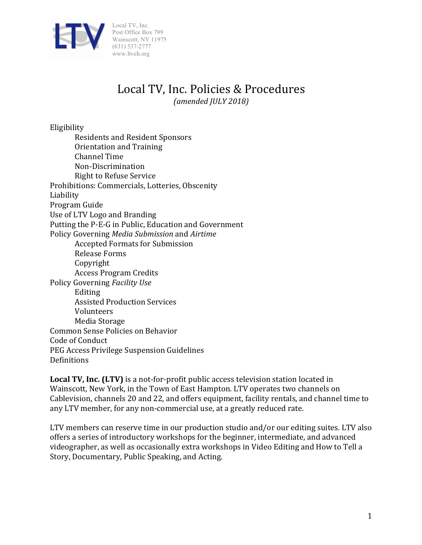

# Local TV, Inc. Policies & Procedures

*(amended JULY 2018)*

Eligibility

Residents and Resident Sponsors Orientation and Training Channel Time Non-Discrimination Right to Refuse Service Prohibitions: Commercials, Lotteries, Obscenity Liability Program Guide Use of LTV Logo and Branding Putting the P-E-G in Public, Education and Government Policy Governing *Media Submission* and *Airtime* Accepted Formats for Submission Release Forms Copyright Access Program Credits Policy Governing *Facility Use* Editing Assisted Production Services Volunteers Media Storage Common Sense Policies on Behavior Code of Conduct PEG Access Privilege Suspension Guidelines Definitions

**Local TV, Inc. (LTV)** is a not-for-profit public access television station located in Wainscott, New York, in the Town of East Hampton. LTV operates two channels on Cablevision, channels 20 and 22, and offers equipment, facility rentals, and channel time to any LTV member, for any non-commercial use, at a greatly reduced rate.

LTV members can reserve time in our production studio and/or our editing suites. LTV also offers a series of introductory workshops for the beginner, intermediate, and advanced videographer, as well as occasionally extra workshops in Video Editing and How to Tell a Story, Documentary, Public Speaking, and Acting.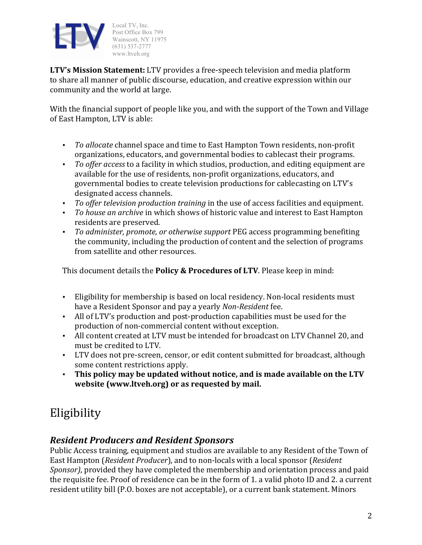

**LTV's Mission Statement:** LTV provides a free-speech television and media platform to share all manner of public discourse, education, and creative expression within our community and the world at large.

With the financial support of people like you, and with the support of the Town and Village of East Hampton, LTV is able:

- To allocate channel space and time to East Hampton Town residents, non-profit organizations, educators, and governmental bodies to cablecast their programs.
- *To offer access* to a facility in which studios, production, and editing equipment are available for the use of residents, non-profit organizations, educators, and governmental bodies to create television productions for cablecasting on LTV's designated access channels.
- *To offer television production training* in the use of access facilities and equipment.
- To house an archive in which shows of historic value and interest to East Hampton residents are preserved.
- To administer, promote, or otherwise support PEG access programming benefiting the community, including the production of content and the selection of programs from satellite and other resources.

This document details the **Policy & Procedures of LTV**. Please keep in mind:

- Eligibility for membership is based on local residency. Non-local residents must have a Resident Sponsor and pay a yearly *Non-Resident* fee.
- All of LTV's production and post-production capabilities must be used for the production of non-commercial content without exception.
- All content created at LTV must be intended for broadcast on LTV Channel 20, and must be credited to LTV.
- LTV does not pre-screen, censor, or edit content submitted for broadcast, although some content restrictions apply.
- This policy may be updated without notice, and is made available on the LTV website (www.ltveh.org) or as requested by mail.

# Eligibility

### *Resident Producers and Resident Sponsors*

Public Access training, equipment and studios are available to any Resident of the Town of East Hampton (*Resident Producer*), and to non-locals with a local sponsor (*Resident Sponsor*), provided they have completed the membership and orientation process and paid the requisite fee. Proof of residence can be in the form of 1. a valid photo ID and 2. a current resident utility bill (P.O. boxes are not acceptable), or a current bank statement. Minors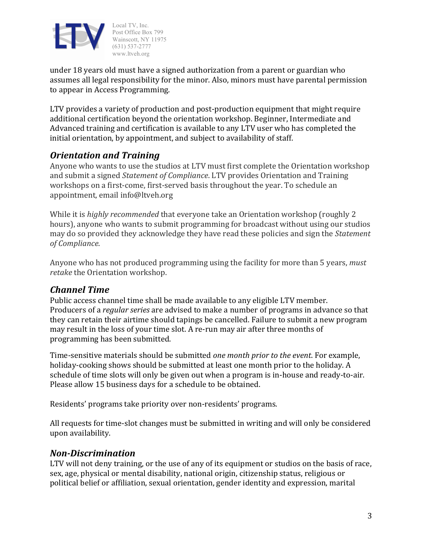

under 18 years old must have a signed authorization from a parent or guardian who assumes all legal responsibility for the minor. Also, minors must have parental permission to appear in Access Programming.

LTV provides a variety of production and post-production equipment that might require additional certification beyond the orientation workshop. Beginner, Intermediate and Advanced training and certification is available to any LTV user who has completed the initial orientation, by appointment, and subject to availability of staff.

### *Orientation and Training*

Anyone who wants to use the studios at LTV must first complete the Orientation workshop and submit a signed *Statement of Compliance*. LTV provides Orientation and Training workshops on a first-come, first-served basis throughout the year. To schedule an appointment, email info@ltveh.org

While it is *highly recommended* that everyone take an Orientation workshop (roughly 2) hours), anyone who wants to submit programming for broadcast without using our studios may do so provided they acknowledge they have read these policies and sign the *Statement of Compliance*.

Anyone who has not produced programming using the facility for more than 5 years, *must retake* the Orientation workshop.

### *Channel Time*

Public access channel time shall be made available to any eligible LTV member. Producers of a *regular series* are advised to make a number of programs in advance so that they can retain their airtime should tapings be cancelled. Failure to submit a new program may result in the loss of your time slot. A re-run may air after three months of programming has been submitted.

Time-sensitive materials should be submitted *one month prior to the event*. For example, holiday-cooking shows should be submitted at least one month prior to the holiday. A schedule of time slots will only be given out when a program is in-house and ready-to-air. Please allow 15 business days for a schedule to be obtained.

Residents' programs take priority over non-residents' programs.

All requests for time-slot changes must be submitted in writing and will only be considered upon availability.

### *Non-Discrimination*

LTV will not deny training, or the use of any of its equipment or studios on the basis of race, sex, age, physical or mental disability, national origin, citizenship status, religious or political belief or affiliation, sexual orientation, gender identity and expression, marital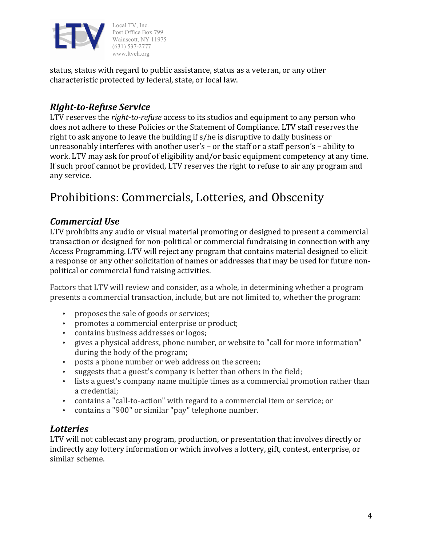

status, status with regard to public assistance, status as a veteran, or any other characteristic protected by federal, state, or local law.

### *Right-to-Refuse Service*

LTV reserves the *right-to-refuse* access to its studios and equipment to any person who does not adhere to these Policies or the Statement of Compliance. LTV staff reserves the right to ask anyone to leave the building if  $s/h$ e is disruptive to daily business or unreasonably interferes with another user's  $-$  or the staff or a staff person's  $-$  ability to work. LTV may ask for proof of eligibility and/or basic equipment competency at any time. If such proof cannot be provided, LTV reserves the right to refuse to air any program and any service.

## Prohibitions: Commercials, Lotteries, and Obscenity

### *Commercial Use*

LTV prohibits any audio or visual material promoting or designed to present a commercial transaction or designed for non-political or commercial fundraising in connection with any Access Programming. LTV will reject any program that contains material designed to elicit a response or any other solicitation of names or addresses that may be used for future nonpolitical or commercial fund raising activities.

Factors that LTV will review and consider, as a whole, in determining whether a program presents a commercial transaction, include, but are not limited to, whether the program:

- proposes the sale of goods or services;
- promotes a commercial enterprise or product;
- contains business addresses or logos;
- gives a physical address, phone number, or website to "call for more information" during the body of the program;
- posts a phone number or web address on the screen;
- suggests that a guest's company is better than others in the field;
- lists a guest's company name multiple times as a commercial promotion rather than a credential;
- contains a "call-to-action" with regard to a commercial item or service; or
- contains a "900" or similar "pay" telephone number.

### *Lotteries*

LTV will not cablecast any program, production, or presentation that involves directly or indirectly any lottery information or which involves a lottery, gift, contest, enterprise, or similar scheme.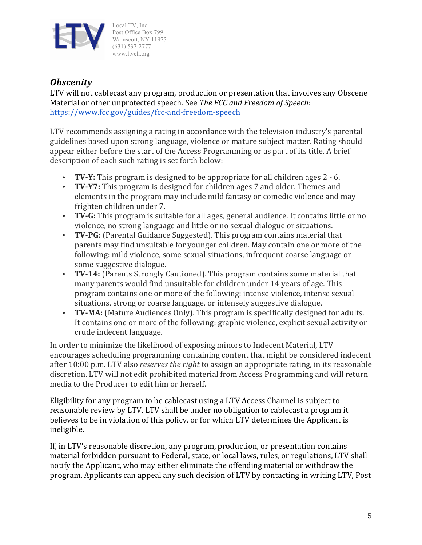

### *Obscenity*

LTV will not cablecast any program, production or presentation that involves any Obscene Material or other unprotected speech. See *The FCC and Freedom of Speech*: https://www.fcc.gov/guides/fcc-and-freedom-speech

LTV recommends assigning a rating in accordance with the television industry's parental guidelines based upon strong language, violence or mature subject matter. Rating should appear either before the start of the Access Programming or as part of its title. A brief description of each such rating is set forth below:

- **TV-Y:** This program is designed to be appropriate for all children ages 2 6.
- **TV-Y7:** This program is designed for children ages 7 and older. Themes and elements in the program may include mild fantasy or comedic violence and may frighten children under 7.
- **TV-G:** This program is suitable for all ages, general audience. It contains little or no violence, no strong language and little or no sexual dialogue or situations.
- **TV-PG:** (Parental Guidance Suggested). This program contains material that parents may find unsuitable for younger children. May contain one or more of the following: mild violence, some sexual situations, infrequent coarse language or some suggestive dialogue.
- **TV-14:** (Parents Strongly Cautioned). This program contains some material that many parents would find unsuitable for children under 14 years of age. This program contains one or more of the following: intense violence, intense sexual situations, strong or coarse language, or intensely suggestive dialogue.
- **TV-MA:** (Mature Audiences Only). This program is specifically designed for adults. It contains one or more of the following: graphic violence, explicit sexual activity or crude indecent language.

In order to minimize the likelihood of exposing minors to Indecent Material, LTV encourages scheduling programming containing content that might be considered indecent after 10:00 p.m. LTV also *reserves the right* to assign an appropriate rating, in its reasonable discretion. LTV will not edit prohibited material from Access Programming and will return media to the Producer to edit him or herself.

Eligibility for any program to be cablecast using a LTV Access Channel is subject to reasonable review by LTV. LTV shall be under no obligation to cablecast a program it believes to be in violation of this policy, or for which LTV determines the Applicant is ineligible.

If, in LTV's reasonable discretion, any program, production, or presentation contains material forbidden pursuant to Federal, state, or local laws, rules, or regulations, LTV shall notify the Applicant, who may either eliminate the offending material or withdraw the program. Applicants can appeal any such decision of LTV by contacting in writing LTV, Post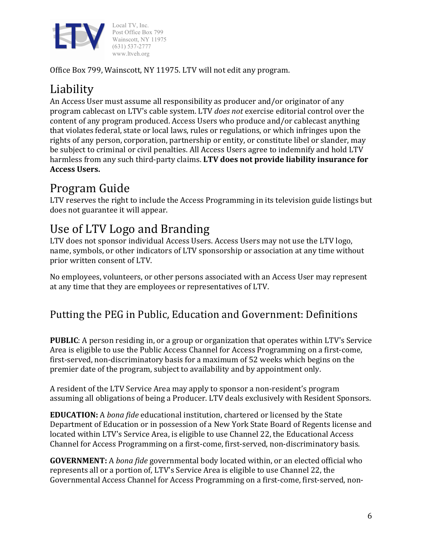

Office Box 799, Wainscott, NY 11975. LTV will not edit any program.

# Liability

An Access User must assume all responsibility as producer and/or originator of any program cablecast on LTV's cable system. LTV *does not* exercise editorial control over the content of any program produced. Access Users who produce and/or cablecast anything that violates federal, state or local laws, rules or regulations, or which infringes upon the rights of any person, corporation, partnership or entity, or constitute libel or slander, may be subject to criminal or civil penalties. All Access Users agree to indemnify and hold LTV harmless from any such third-party claims. LTV does not provide liability insurance for **Access Users.**

# Program Guide

LTV reserves the right to include the Access Programming in its television guide listings but does not guarantee it will appear.

## Use of LTV Logo and Branding

LTV does not sponsor individual Access Users. Access Users may not use the LTV logo, name, symbols, or other indicators of LTV sponsorship or association at any time without prior written consent of LTV.

No employees, volunteers, or other persons associated with an Access User may represent at any time that they are employees or representatives of LTV.

### Putting the PEG in Public, Education and Government: Definitions

**PUBLIC**: A person residing in, or a group or organization that operates within LTV's Service Area is eligible to use the Public Access Channel for Access Programming on a first-come, first-served, non-discriminatory basis for a maximum of 52 weeks which begins on the premier date of the program, subject to availability and by appointment only.

A resident of the LTV Service Area may apply to sponsor a non-resident's program assuming all obligations of being a Producer. LTV deals exclusively with Resident Sponsors.

**EDUCATION:** A *bona fide* educational institution, chartered or licensed by the State Department of Education or in possession of a New York State Board of Regents license and located within LTV's Service Area, is eligible to use Channel 22, the Educational Access Channel for Access Programming on a first-come, first-served, non-discriminatory basis.

**GOVERNMENT:** A *bona fide* governmental body located within, or an elected official who represents all or a portion of, LTV's Service Area is eligible to use Channel 22, the Governmental Access Channel for Access Programming on a first-come, first-served, non-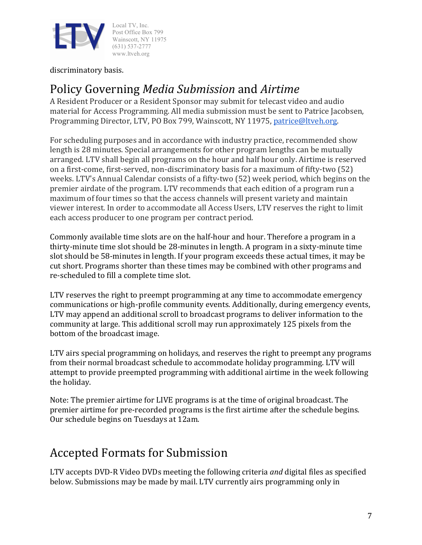

discriminatory basis.

## Policy Governing *Media Submission* and *Airtime*

A Resident Producer or a Resident Sponsor may submit for telecast video and audio material for Access Programming. All media submission must be sent to Patrice Jacobsen, Programming Director, LTV, PO Box 799, Wainscott, NY 11975, patrice@ltveh.org.

For scheduling purposes and in accordance with industry practice, recommended show length is 28 minutes. Special arrangements for other program lengths can be mutually arranged. LTV shall begin all programs on the hour and half hour only. Airtime is reserved on a first-come, first-served, non-discriminatory basis for a maximum of fifty-two (52) weeks. LTV's Annual Calendar consists of a fifty-two (52) week period, which begins on the premier airdate of the program. LTV recommends that each edition of a program run a maximum of four times so that the access channels will present variety and maintain viewer interest. In order to accommodate all Access Users, LTV reserves the right to limit each access producer to one program per contract period.

Commonly available time slots are on the half-hour and hour. Therefore a program in a thirty-minute time slot should be 28-minutes in length. A program in a sixty-minute time slot should be 58-minutes in length. If your program exceeds these actual times, it may be cut short. Programs shorter than these times may be combined with other programs and re-scheduled to fill a complete time slot.

LTV reserves the right to preempt programming at any time to accommodate emergency communications or high-profile community events. Additionally, during emergency events, LTV may append an additional scroll to broadcast programs to deliver information to the community at large. This additional scroll may run approximately 125 pixels from the bottom of the broadcast image.

LTV airs special programming on holidays, and reserves the right to preempt any programs from their normal broadcast schedule to accommodate holiday programming. LTV will attempt to provide preempted programming with additional airtime in the week following the holiday.

Note: The premier airtime for LIVE programs is at the time of original broadcast. The premier airtime for pre-recorded programs is the first airtime after the schedule begins. Our schedule begins on Tuesdays at 12am.

## Accepted Formats for Submission

LTV accepts DVD-R Video DVDs meeting the following criteria *and* digital files as specified below. Submissions may be made by mail. LTV currently airs programming only in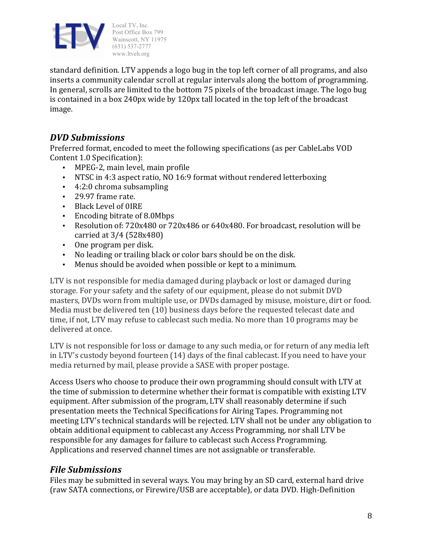

www.ltveh.org standard definition. LTV appends a logo bug in the top left corner of all programs, and also inserts a community calendar scroll at regular intervals along the bottom of programming. In general, scrolls are limited to the bottom 75 pixels of the broadcast image. The logo bug is contained in a box 240px wide by 120px tall located in the top left of the broadcast image.

### *DVD Submissions*

Preferred format, encoded to meet the following specifications (as per CableLabs VOD Content 1.0 Specification):

- MPEG-2, main level, main profile
- NTSC in 4:3 aspect ratio, NO 16:9 format without rendered letterboxing
- $\cdot$  4:2:0 chroma subsampling
- 29.97 frame rate.
- Black Level of OIRE
- Encoding bitrate of 8.0Mbps
- Resolution of: 720x480 or 720x486 or 640x480. For broadcast, resolution will be carried at 3/4 (528x480)
- One program per disk.
- No leading or trailing black or color bars should be on the disk.
- Menus should be avoided when possible or kept to a minimum.

LTV is not responsible for media damaged during playback or lost or damaged during storage. For your safety and the safety of our equipment, please do not submit DVD masters, DVDs worn from multiple use, or DVDs damaged by misuse, moisture, dirt or food. Media must be delivered ten  $(10)$  business days before the requested telecast date and time, if not, LTV may refuse to cablecast such media. No more than 10 programs may be delivered at once.

LTV is not responsible for loss or damage to any such media, or for return of any media left in LTV's custody beyond fourteen (14) days of the final cablecast. If you need to have your media returned by mail, please provide a SASE with proper postage.

Access Users who choose to produce their own programming should consult with LTV at the time of submission to determine whether their format is compatible with existing LTV equipment. After submission of the program, LTV shall reasonably determine if such presentation meets the Technical Specifications for Airing Tapes. Programming not meeting LTV's technical standards will be rejected. LTV shall not be under any obligation to obtain additional equipment to cablecast any Access Programming, nor shall LTV be responsible for any damages for failure to cablecast such Access Programming. Applications and reserved channel times are not assignable or transferable.

### *File Submissions*

Files may be submitted in several ways. You may bring by an SD card, external hard drive (raw SATA connections, or Firewire/USB are acceptable), or data DVD. High-Definition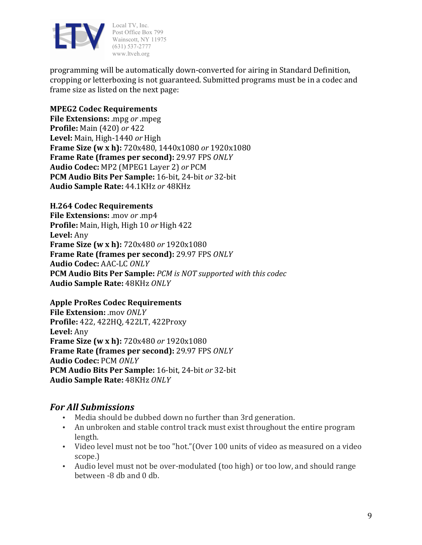

programming will be automatically down-converted for airing in Standard Definition, cropping or letterboxing is not guaranteed. Submitted programs must be in a codec and frame size as listed on the next page:

#### **MPEG2 Codec Requirements**

**File Extensions:** .mpg or .mpeg **Profile:** Main (420) or 422 Level: Main, High-1440 or High **Frame Size (w x h):** 720x480, 1440x1080 or 1920x1080 **Frame Rate (frames per second):** 29.97 FPS *ONLY* **Audio Codec:** MP2 (MPEG1 Layer 2) or PCM **PCM** Audio Bits Per Sample: 16-bit, 24-bit or 32-bit **Audio Sample Rate:** 44.1KHz *or* 48KHz

#### **H.264 Codec Requirements**

**File Extensions:** .mov or .mp4 **Profile:** Main, High, High 10 or High 422 Level: Any **Frame Size (w x h):** 720x480 or 1920x1080 **Frame Rate (frames per second):** 29.97 FPS *ONLY* **Audio Codec:** AAC-LC *ONLY* **PCM Audio Bits Per Sample:** *PCM* is NOT supported with this codec **Audio Sample Rate:** 48KHz *ONLY*

#### **Apple ProRes Codec Requirements**

**File Extension:** .mov ONLY **Profile:** 422, 422HQ, 422LT, 422Proxy Level: Any **Frame Size (w x h):** 720x480 or 1920x1080 **Frame Rate (frames per second):** 29.97 FPS *ONLY* **Audio Codec:** PCM *ONLY* **PCM** Audio Bits Per Sample: 16-bit, 24-bit *or* 32-bit **Audio Sample Rate:** 48KHz *ONLY*

### *For All Submissions*

- Media should be dubbed down no further than 3rd generation.
- An unbroken and stable control track must exist throughout the entire program length.
- Video level must not be too "hot." (Over 100 units of video as measured on a video scope.)
- Audio level must not be over-modulated (too high) or too low, and should range between -8 db and 0 db.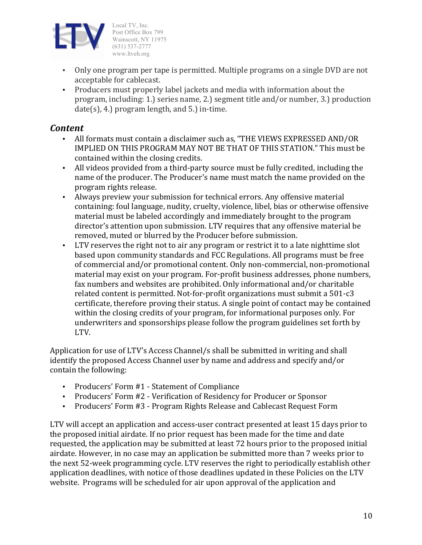

- Only one program per tape is permitted. Multiple programs on a single DVD are not acceptable for cablecast.
- Producers must properly label jackets and media with information about the program, including: 1.) series name, 2.) segment title and/or number, 3.) production  $date(s)$ , 4.) program length, and 5.) in-time.

### *Content*

- All formats must contain a disclaimer such as, "THE VIEWS EXPRESSED AND/OR IMPLIED ON THIS PROGRAM MAY NOT BE THAT OF THIS STATION." This must be contained within the closing credits.
- All videos provided from a third-party source must be fully credited, including the name of the producer. The Producer's name must match the name provided on the program rights release.
- Always preview your submission for technical errors. Any offensive material containing: foul language, nudity, cruelty, violence, libel, bias or otherwise offensive material must be labeled accordingly and immediately brought to the program director's attention upon submission. LTV requires that any offensive material be removed, muted or blurred by the Producer before submission.
- LTV reserves the right not to air any program or restrict it to a late nighttime slot based upon community standards and FCC Regulations. All programs must be free of commercial and/or promotional content. Only non-commercial, non-promotional material may exist on your program. For-profit business addresses, phone numbers, fax numbers and websites are prohibited. Only informational and/or charitable related content is permitted. Not-for-profit organizations must submit a 501-c3 certificate, therefore proving their status. A single point of contact may be contained within the closing credits of your program, for informational purposes only. For underwriters and sponsorships please follow the program guidelines set forth by LTV.

Application for use of LTV's Access Channel/s shall be submitted in writing and shall identify the proposed Access Channel user by name and address and specify and/or contain the following:

- Producers' Form #1 Statement of Compliance
- Producers' Form #2 Verification of Residency for Producer or Sponsor
- Producers' Form #3 Program Rights Release and Cablecast Request Form

LTV will accept an application and access-user contract presented at least 15 days prior to the proposed initial airdate. If no prior request has been made for the time and date requested, the application may be submitted at least 72 hours prior to the proposed initial airdate. However, in no case may an application be submitted more than 7 weeks prior to the next 52-week programming cycle. LTV reserves the right to periodically establish other application deadlines, with notice of those deadlines updated in these Policies on the LTV website. Programs will be scheduled for air upon approval of the application and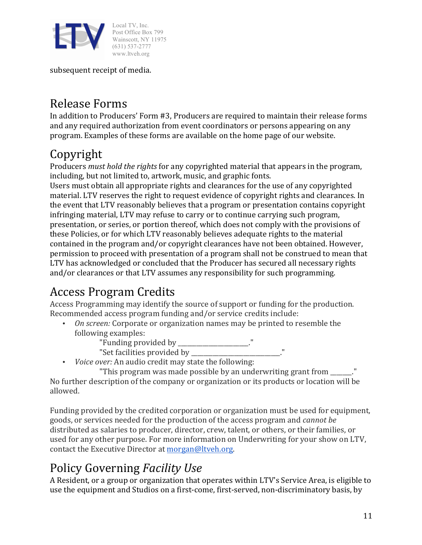

subsequent receipt of media.

## Release Forms

In addition to Producers' Form #3, Producers are required to maintain their release forms and any required authorization from event coordinators or persons appearing on any program. Examples of these forms are available on the home page of our website.

## Copyright

Producers *must hold the rights* for any copyrighted material that appears in the program, including, but not limited to, artwork, music, and graphic fonts.

Users must obtain all appropriate rights and clearances for the use of any copyrighted material. LTV reserves the right to request evidence of copyright rights and clearances. In the event that LTV reasonably believes that a program or presentation contains copyright infringing material, LTV may refuse to carry or to continue carrying such program, presentation, or series, or portion thereof, which does not comply with the provisions of these Policies, or for which LTV reasonably believes adequate rights to the material contained in the program and/or copyright clearances have not been obtained. However, permission to proceed with presentation of a program shall not be construed to mean that LTV has acknowledged or concluded that the Producer has secured all necessary rights and/or clearances or that LTV assumes any responsibility for such programming.

# Access Program Credits

Access Programming may identify the source of support or funding for the production. Recommended access program funding and/or service credits include:

• *On screen:* Corporate or organization names may be printed to resemble the following examples:

"Funding provided by \_\_\_\_\_\_\_\_\_\_\_\_\_\_\_\_\_.

"Set facilities provided by  $\blacksquare$ 

• *Voice over:* An audio credit may state the following:

"This program was made possible by an underwriting grant from  $\ddot{\hspace{1cm}}$ ." No further description of the company or organization or its products or location will be allowed.

Funding provided by the credited corporation or organization must be used for equipment, goods, or services needed for the production of the access program and *cannot be* distributed as salaries to producer, director, crew, talent, or others, or their families, or used for any other purpose. For more information on Underwriting for your show on LTV, contact the Executive Director at morgan@ltveh.org.

# Policy Governing *Facility Use*

A Resident, or a group or organization that operates within LTV's Service Area, is eligible to use the equipment and Studios on a first-come, first-served, non-discriminatory basis, by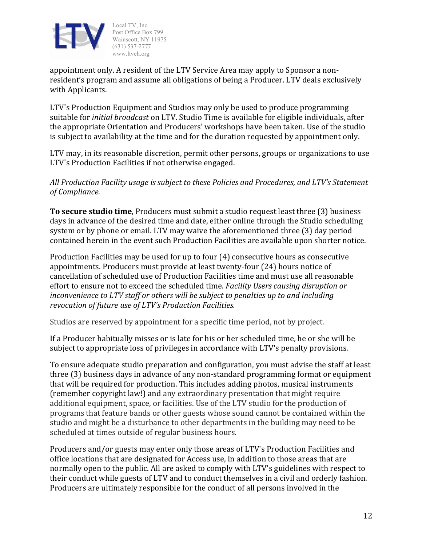

appointment only. A resident of the LTV Service Area may apply to Sponsor a nonresident's program and assume all obligations of being a Producer. LTV deals exclusively with Applicants.

LTV's Production Equipment and Studios may only be used to produce programming suitable for *initial broadcast* on LTV. Studio Time is available for eligible individuals, after the appropriate Orientation and Producers' workshops have been taken. Use of the studio is subject to availability at the time and for the duration requested by appointment only.

LTV may, in its reasonable discretion, permit other persons, groups or organizations to use LTV's Production Facilities if not otherwise engaged.

All Production Facility usage is subject to these Policies and Procedures, and LTV's Statement *of Compliance.*

**To secure studio time**, Producers must submit a studio request least three (3) business days in advance of the desired time and date, either online through the Studio scheduling system or by phone or email. LTV may waive the aforementioned three (3) day period contained herein in the event such Production Facilities are available upon shorter notice.

Production Facilities may be used for up to four  $(4)$  consecutive hours as consecutive appointments. Producers must provide at least twenty-four (24) hours notice of cancellation of scheduled use of Production Facilities time and must use all reasonable effort to ensure not to exceed the scheduled time. *Facility Users causing disruption or inconvenience to LTV staff or others will be subject to penalties up to and including revocation of future use of LTV's Production Facilities.* 

Studios are reserved by appointment for a specific time period, not by project.

If a Producer habitually misses or is late for his or her scheduled time, he or she will be subject to appropriate loss of privileges in accordance with LTV's penalty provisions.

To ensure adequate studio preparation and configuration, you must advise the staff at least three (3) business days in advance of any non-standard programming format or equipment that will be required for production. This includes adding photos, musical instruments (remember copyright law!) and any extraordinary presentation that might require additional equipment, space, or facilities. Use of the LTV studio for the production of programs that feature bands or other guests whose sound cannot be contained within the studio and might be a disturbance to other departments in the building may need to be scheduled at times outside of regular business hours.

Producers and/or guests may enter only those areas of LTV's Production Facilities and office locations that are designated for Access use, in addition to those areas that are normally open to the public. All are asked to comply with LTV's guidelines with respect to their conduct while guests of LTV and to conduct themselves in a civil and orderly fashion. Producers are ultimately responsible for the conduct of all persons involved in the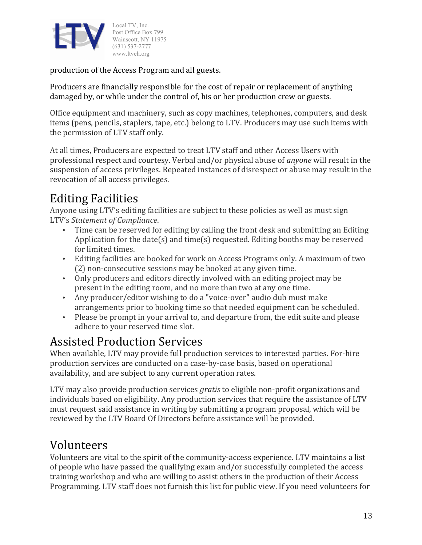

production of the Access Program and all guests.

Producers are financially responsible for the cost of repair or replacement of anything damaged by, or while under the control of, his or her production crew or guests.

Office equipment and machinery, such as copy machines, telephones, computers, and desk items (pens, pencils, staplers, tape, etc.) belong to LTV. Producers may use such items with the permission of LTV staff only.

At all times, Producers are expected to treat LTV staff and other Access Users with professional respect and courtesy. Verbal and/or physical abuse of *anyone* will result in the suspension of access privileges. Repeated instances of disrespect or abuse may result in the revocation of all access privileges.

# **Editing Facilities**

Anyone using LTV's editing facilities are subject to these policies as well as must sign LTV's Statement of Compliance.

- Time can be reserved for editing by calling the front desk and submitting an Editing Application for the date(s) and  $time(s)$  requested. Editing booths may be reserved for limited times.
- Editing facilities are booked for work on Access Programs only. A maximum of two  $(2)$  non-consecutive sessions may be booked at any given time.
- Only producers and editors directly involved with an editing project may be present in the editing room, and no more than two at any one time.
- Any producer/editor wishing to do a "voice-over" audio dub must make arrangements prior to booking time so that needed equipment can be scheduled.
- Please be prompt in your arrival to, and departure from, the edit suite and please adhere to your reserved time slot.

## Assisted Production Services

When available, LTV may provide full production services to interested parties. For-hire production services are conducted on a case-by-case basis, based on operational availability, and are subject to any current operation rates.

LTV may also provide production services *gratis* to eligible non-profit organizations and individuals based on eligibility. Any production services that require the assistance of LTV must request said assistance in writing by submitting a program proposal, which will be reviewed by the LTV Board Of Directors before assistance will be provided.

## Volunteers

Volunteers are vital to the spirit of the community-access experience. LTV maintains a list of people who have passed the qualifying exam and/or successfully completed the access training workshop and who are willing to assist others in the production of their Access Programming. LTV staff does not furnish this list for public view. If you need volunteers for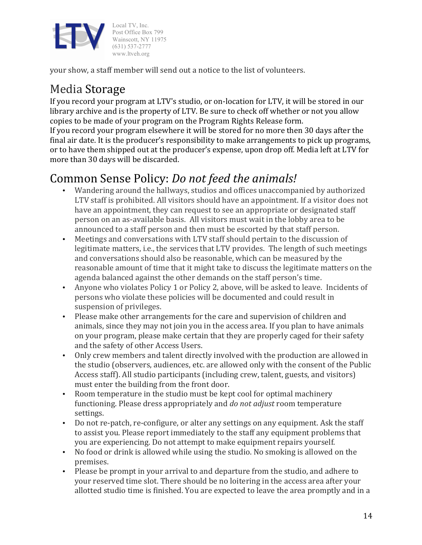

your show, a staff member will send out a notice to the list of volunteers.

## Media Storage

If you record your program at LTV's studio, or on-location for LTV, it will be stored in our library archive and is the property of LTV. Be sure to check off whether or not you allow copies to be made of your program on the Program Rights Release form.

If you record your program elsewhere it will be stored for no more then 30 days after the final air date. It is the producer's responsibility to make arrangements to pick up programs, or to have them shipped out at the producer's expense, upon drop off. Media left at LTV for more than 30 days will be discarded.

## Common Sense Policy: *Do not feed the animals!*

- Wandering around the hallways, studios and offices unaccompanied by authorized LTV staff is prohibited. All visitors should have an appointment. If a visitor does not have an appointment, they can request to see an appropriate or designated staff person on an as-available basis. All visitors must wait in the lobby area to be announced to a staff person and then must be escorted by that staff person.
- Meetings and conversations with LTV staff should pertain to the discussion of legitimate matters, i.e., the services that LTV provides. The length of such meetings and conversations should also be reasonable, which can be measured by the reasonable amount of time that it might take to discuss the legitimate matters on the agenda balanced against the other demands on the staff person's time.
- Anyone who violates Policy 1 or Policy 2, above, will be asked to leave. Incidents of persons who violate these policies will be documented and could result in suspension of privileges.
- Please make other arrangements for the care and supervision of children and animals, since they may not join you in the access area. If you plan to have animals on your program, please make certain that they are properly caged for their safety and the safety of other Access Users.
- Only crew members and talent directly involved with the production are allowed in the studio (observers, audiences, etc. are allowed only with the consent of the Public Access staff). All studio participants (including crew, talent, guests, and visitors) must enter the building from the front door.
- Room temperature in the studio must be kept cool for optimal machinery functioning. Please dress appropriately and *do not adjust* room temperature settings.
- Do not re-patch, re-configure, or alter any settings on any equipment. Ask the staff to assist you. Please report immediately to the staff any equipment problems that you are experiencing. Do not attempt to make equipment repairs yourself.
- No food or drink is allowed while using the studio. No smoking is allowed on the premises.
- Please be prompt in your arrival to and departure from the studio, and adhere to your reserved time slot. There should be no loitering in the access area after your allotted studio time is finished. You are expected to leave the area promptly and in a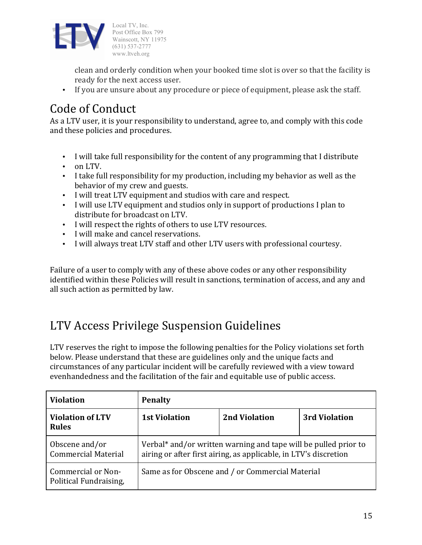

clean and orderly condition when your booked time slot is over so that the facility is ready for the next access user.

• If you are unsure about any procedure or piece of equipment, please ask the staff.

# Code of Conduct

As a LTV user, it is your responsibility to understand, agree to, and comply with this code and these policies and procedures.

- I will take full responsibility for the content of any programming that I distribute
- on LTV.
- I take full responsibility for my production, including my behavior as well as the behavior of my crew and guests.
- I will treat LTV equipment and studios with care and respect.
- I will use LTV equipment and studios only in support of productions I plan to distribute for broadcast on LTV.
- I will respect the rights of others to use LTV resources.
- I will make and cancel reservations.
- I will always treat LTV staff and other LTV users with professional courtesy.

Failure of a user to comply with any of these above codes or any other responsibility identified within these Policies will result in sanctions, termination of access, and any and all such action as permitted by law.

## LTV Access Privilege Suspension Guidelines

LTV reserves the right to impose the following penalties for the Policy violations set forth below. Please understand that these are guidelines only and the unique facts and circumstances of any particular incident will be carefully reviewed with a view toward evenhandedness and the facilitation of the fair and equitable use of public access.

| <b>Violation</b>                             | <b>Penalty</b>                                                                                                                      |                      |               |  |
|----------------------------------------------|-------------------------------------------------------------------------------------------------------------------------------------|----------------------|---------------|--|
| <b>Violation of LTV</b><br><b>Rules</b>      | <b>1st Violation</b>                                                                                                                | <b>2nd Violation</b> | 3rd Violation |  |
| Obscene and/or<br><b>Commercial Material</b> | Verbal* and/or written warning and tape will be pulled prior to<br>airing or after first airing, as applicable, in LTV's discretion |                      |               |  |
| Commercial or Non-<br>Political Fundraising, | Same as for Obscene and / or Commercial Material                                                                                    |                      |               |  |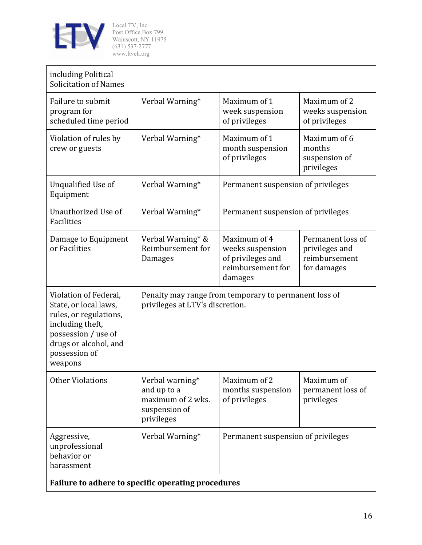

| including Political<br><b>Solicitation of Names</b>                                                                                                                      |                                                                                          |                                                                                       |                                                                     |  |  |
|--------------------------------------------------------------------------------------------------------------------------------------------------------------------------|------------------------------------------------------------------------------------------|---------------------------------------------------------------------------------------|---------------------------------------------------------------------|--|--|
| Failure to submit<br>program for<br>scheduled time period                                                                                                                | Verbal Warning*                                                                          | Maximum of 1<br>week suspension<br>of privileges                                      | Maximum of 2<br>weeks suspension<br>of privileges                   |  |  |
| Violation of rules by<br>crew or guests                                                                                                                                  | Verbal Warning*                                                                          | Maximum of 1<br>month suspension<br>of privileges                                     | Maximum of 6<br>months<br>suspension of<br>privileges               |  |  |
| Unqualified Use of<br>Equipment                                                                                                                                          | Verbal Warning*                                                                          | Permanent suspension of privileges                                                    |                                                                     |  |  |
| Unauthorized Use of<br>Facilities                                                                                                                                        | Verbal Warning*                                                                          | Permanent suspension of privileges                                                    |                                                                     |  |  |
| Damage to Equipment<br>or Facilities                                                                                                                                     | Verbal Warning* &<br>Reimbursement for<br>Damages                                        | Maximum of 4<br>weeks suspension<br>of privileges and<br>reimbursement for<br>damages | Permanent loss of<br>privileges and<br>reimbursement<br>for damages |  |  |
| Violation of Federal,<br>State, or local laws,<br>rules, or regulations,<br>including theft,<br>possession / use of<br>drugs or alcohol, and<br>possession of<br>weapons | Penalty may range from temporary to permanent loss of<br>privileges at LTV's discretion. |                                                                                       |                                                                     |  |  |
| <b>Other Violations</b>                                                                                                                                                  | Verbal warning*<br>and up to a<br>maximum of 2 wks.<br>suspension of<br>privileges       | Maximum of 2<br>months suspension<br>of privileges                                    | Maximum of<br>permanent loss of<br>privileges                       |  |  |
| Aggressive,<br>unprofessional<br>behavior or<br>harassment                                                                                                               | Verbal Warning*                                                                          | Permanent suspension of privileges                                                    |                                                                     |  |  |
| Failure to adhere to specific operating procedures                                                                                                                       |                                                                                          |                                                                                       |                                                                     |  |  |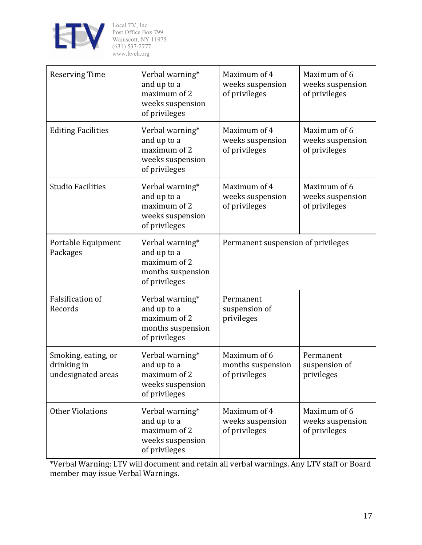

| <b>Reserving Time</b>                                    | Verbal warning*<br>and up to a<br>maximum of 2<br>weeks suspension<br>of privileges  | Maximum of 4<br>weeks suspension<br>of privileges  | Maximum of 6<br>weeks suspension<br>of privileges |
|----------------------------------------------------------|--------------------------------------------------------------------------------------|----------------------------------------------------|---------------------------------------------------|
| <b>Editing Facilities</b>                                | Verbal warning*<br>and up to a<br>maximum of 2<br>weeks suspension<br>of privileges  | Maximum of 4<br>weeks suspension<br>of privileges  | Maximum of 6<br>weeks suspension<br>of privileges |
| <b>Studio Facilities</b>                                 | Verbal warning*<br>and up to a<br>maximum of 2<br>weeks suspension<br>of privileges  | Maximum of 4<br>weeks suspension<br>of privileges  | Maximum of 6<br>weeks suspension<br>of privileges |
| Portable Equipment<br>Packages                           | Verbal warning*<br>and up to a<br>maximum of 2<br>months suspension<br>of privileges | Permanent suspension of privileges                 |                                                   |
| <b>Falsification of</b><br>Records                       | Verbal warning*<br>and up to a<br>maximum of 2<br>months suspension<br>of privileges | Permanent<br>suspension of<br>privileges           |                                                   |
| Smoking, eating, or<br>drinking in<br>undesignated areas | Verbal warning*<br>and up to a<br>maximum of 2<br>weeks suspension<br>of privileges  | Maximum of 6<br>months suspension<br>of privileges | Permanent<br>suspension of<br>privileges          |
| <b>Other Violations</b>                                  | Verbal warning*<br>and up to a<br>maximum of 2<br>weeks suspension<br>of privileges  | Maximum of 4<br>weeks suspension<br>of privileges  | Maximum of 6<br>weeks suspension<br>of privileges |

\*Verbal Warning: LTV will document and retain all verbal warnings. Any LTV staff or Board member may issue Verbal Warnings.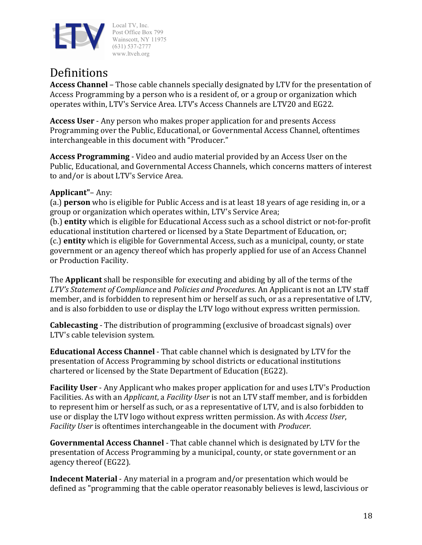

### Definitions

**Access Channel** – Those cable channels specially designated by LTV for the presentation of Access Programming by a person who is a resident of, or a group or organization which operates within, LTV's Service Area. LTV's Access Channels are LTV20 and EG22.

**Access User** - Any person who makes proper application for and presents Access Programming over the Public, Educational, or Governmental Access Channel, oftentimes interchangeable in this document with "Producer."

**Access Programming** - Video and audio material provided by an Access User on the Public, Educational, and Governmental Access Channels, which concerns matters of interest to and/or is about LTV's Service Area.

#### **Applicant"**– Any:

(a.) **person** who is eligible for Public Access and is at least 18 years of age residing in, or a group or organization which operates within, LTV's Service Area; (b.) **entity** which is eligible for Educational Access such as a school district or not-for-profit educational institution chartered or licensed by a State Department of Education, or; (c.) **entity** which is eligible for Governmental Access, such as a municipal, county, or state

government or an agency thereof which has properly applied for use of an Access Channel or Production Facility.

The **Applicant** shall be responsible for executing and abiding by all of the terms of the LTV's Statement of Compliance and Policies and Procedures. An Applicant is not an LTV staff member, and is forbidden to represent him or herself as such, or as a representative of LTV, and is also forbidden to use or display the LTV logo without express written permission.

**Cablecasting** - The distribution of programming (exclusive of broadcast signals) over LTV's cable television system.

**Educational Access Channel** - That cable channel which is designated by LTV for the presentation of Access Programming by school districts or educational institutions chartered or licensed by the State Department of Education (EG22).

**Facility User** - Any Applicant who makes proper application for and uses LTV's Production Facilities. As with an *Applicant*, a *Facility User* is not an LTV staff member, and is forbidden to represent him or herself as such, or as a representative of LTV, and is also forbidden to use or display the LTV logo without express written permission. As with *Access User*, *Facility User* is oftentimes interchangeable in the document with *Producer.* 

**Governmental Access Channel** - That cable channel which is designated by LTV for the presentation of Access Programming by a municipal, county, or state government or an agency thereof (EG22).

**Indecent Material** - Any material in a program and/or presentation which would be defined as "programming that the cable operator reasonably believes is lewd, lascivious or